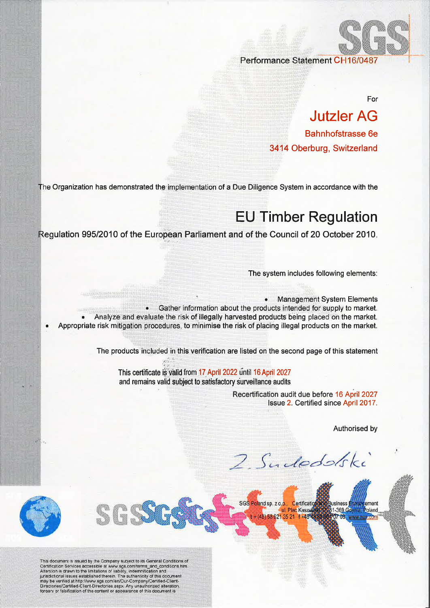Performance Statement C

For

## Jutzler AG Bahnhofstrasse 6e 3414 Oberburg, Switzerland

Organization has demonstrated the implementation of a Due Diligence System in accordance with the

## EU Timber Regulation

ulation 995/2010 of the European Parliament and of the Council of 20 October 2010

The system includes following elements:

Appropriate risk mitigation procedures, to minimise the risk of placing illegal products on the market **Management System Elements** • Gather information about the products intended for supply to market. Analyze and evaluate the risk of illegally harvested products being placed on the market.

The products included in this verification are listed on the second page of this statement

This certificate is valid from 17 April 2022 until 16 April 2027 and remains valid subject to satisfactory surveillance audits

 $\mathcal{G}^{\alpha}_{\mathcal{I}}$ , r,  $\alpha$ 

Recertification audit due before 16 April 2027<br>Issue 2. Certified since April 2017.

Authorised by

.com

I

2. Sudedski



This document is issued by the Company subject to its General Conditions of<br>Certification Services accessible at www.sgs.com/terms\_and\_conditions.htm.<br>Attention is drawn to the limitations of liability, indemnification and may be verified at http://www.sgs.com/en/Qur-Company/Certified-Client-Directories/Certified-Client-Directories.aspx. Any unauthorized alteration forgery or falsification of the content or appearance of this document is

**GGG** 

SGS Poland sp. z o.o., Certification **Business** tement ul. Plac Kaszu 1-369 Gdynia Poland  $+ (48) 58 621 35 21 1 + 484$ 207 68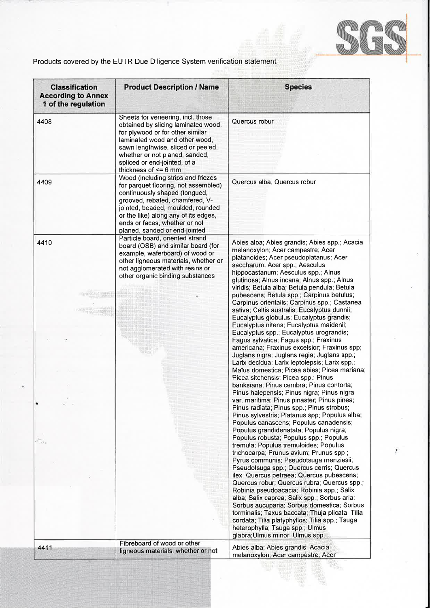

## Products covered by the EUTR Due Diligence System verification statement

| <b>Classification</b><br><b>According to Annex</b><br>1 of the regulation | <b>Product Description / Name</b>                                                                                                                                                                                                                                                             | <b>Species</b>                                                                                                                                                                                                                                                                                                                                                                                                                                                                                                                                                                                                                                                                                                                                                                                                                                                                                                                                                                                                                                                                                                                                                                                                                                                                                                                                                                                                                                                                                                                                                                                                                                                                                                                                                                                   |
|---------------------------------------------------------------------------|-----------------------------------------------------------------------------------------------------------------------------------------------------------------------------------------------------------------------------------------------------------------------------------------------|--------------------------------------------------------------------------------------------------------------------------------------------------------------------------------------------------------------------------------------------------------------------------------------------------------------------------------------------------------------------------------------------------------------------------------------------------------------------------------------------------------------------------------------------------------------------------------------------------------------------------------------------------------------------------------------------------------------------------------------------------------------------------------------------------------------------------------------------------------------------------------------------------------------------------------------------------------------------------------------------------------------------------------------------------------------------------------------------------------------------------------------------------------------------------------------------------------------------------------------------------------------------------------------------------------------------------------------------------------------------------------------------------------------------------------------------------------------------------------------------------------------------------------------------------------------------------------------------------------------------------------------------------------------------------------------------------------------------------------------------------------------------------------------------------|
| 4408                                                                      | Sheets for veneering, incl. those<br>obtained by slicing laminated wood,<br>for plywood or for other similar<br>laminated wood and other wood,<br>sawn lengthwise, sliced or peeled,<br>whether or not planed, sanded,<br>spliced or end-jointed, of a<br>thickness of $\leq$ 6 mm            | Quercus robur                                                                                                                                                                                                                                                                                                                                                                                                                                                                                                                                                                                                                                                                                                                                                                                                                                                                                                                                                                                                                                                                                                                                                                                                                                                                                                                                                                                                                                                                                                                                                                                                                                                                                                                                                                                    |
| 4409                                                                      | Wood (including strips and friezes<br>for parquet flooring, not assembled)<br>continuously shaped (tongued,<br>grooved, rebated, chamfered, V-<br>jointed, beaded, moulded, rounded<br>or the like) along any of its edges,<br>ends or faces, whether or not<br>planed, sanded or end-jointed | Quercus alba, Quercus robur                                                                                                                                                                                                                                                                                                                                                                                                                                                                                                                                                                                                                                                                                                                                                                                                                                                                                                                                                                                                                                                                                                                                                                                                                                                                                                                                                                                                                                                                                                                                                                                                                                                                                                                                                                      |
| 4410<br>SOSHATIGHT<br>itistalistis                                        | Particle board, oriented strand<br>board (OSB) and similar board (for<br>example, waferboard) of wood or<br>other ligneous materials, whether or<br>not agglomerated with resins or<br>other organic binding substances                                                                       | Abies alba; Abies grandis; Abies spp.; Acacia<br>melanoxylon; Acer campestre; Acer<br>platanoides; Acer pseudoplatanus; Acer<br>saccharum; Acer spp.; Aesculus<br>hippocastanum; Aesculus spp.; Alnus<br>glutinosa; Alnus incana; Alnus spp.; Alnus<br>viridis; Betula alba; Betula pendula; Betula<br>pubescens; Betula spp.; Carpinus betulus;<br>Carpinus orientalis; Carpinus spp.; Castanea<br>sativa; Celtis australis; Eucalyptus dunnii;<br>Eucalyptus globulus; Eucalyptus grandis;<br>Eucalyptus nitens; Eucalyptus maidenii;<br>Eucalyptus spp.; Eucalyptus urograndis;<br>Fagus sylvatica; Fagus spp.; Fraxinus<br>americana; Fraxinus excelsior; Fraxinus spp;<br>Juglans nigra; Juglans regia; Juglans spp.;<br>Larix decidua; Larix leptolepsis; Larix spp.;<br>Maius domestica; Picea abies; Picea mariana;<br>Picea sitchensis; Picea spp.; Pinus<br>banksiana; Pinus cembra; Pinus contorta;<br>Pinus halepensis; Pinus nigra; Pinus nigra<br>var. maritima; Pinus pinaster; Pinus pinea;<br>Pinus radiata; Pinus spp.; Pinus strobus;<br>Pinus sylvestris; Platanus spp; Populus alba;<br>Populus canascens; Populus canadensis;<br>Populus grandidenatata; Populus nigra;<br>Populus robusta; Populus spp.; Populus<br>tremula; Populus tremuloides; Populus<br>trichocarpa; Prunus avium; Prunus spp;<br>Pyrus communis; Pseudotsuga menziesii;<br>Pseudotsuga spp.; Quercus cerris; Quercus<br>ilex; Quercus petraea; Quercus pubescens;<br>Quercus robur; Quercus rubra; Quercus spp.;<br>Robinia pseudoacacia; Robinia spp.; Salix<br>alba; Salix caprea; Salix spp.; Sorbus aria;<br>Sorbus aucuparia; Sorbus domestica; Sorbus<br>torminalis; Taxus baccata; Thuja plicata; Tilia<br>cordata; Tilia platyphyllos; Tilia spp.; Tsuga<br>heterophylla; Tsuga spp.; Ulmus |
| 4411                                                                      | Fibreboard of wood or other<br>ligneous materials, whether or not                                                                                                                                                                                                                             | glabra; Ulmus minor; Ulmus spp.<br>Abies alba; Abies grandis; Acacia<br>melanoxylon; Acer campestre; Acer                                                                                                                                                                                                                                                                                                                                                                                                                                                                                                                                                                                                                                                                                                                                                                                                                                                                                                                                                                                                                                                                                                                                                                                                                                                                                                                                                                                                                                                                                                                                                                                                                                                                                        |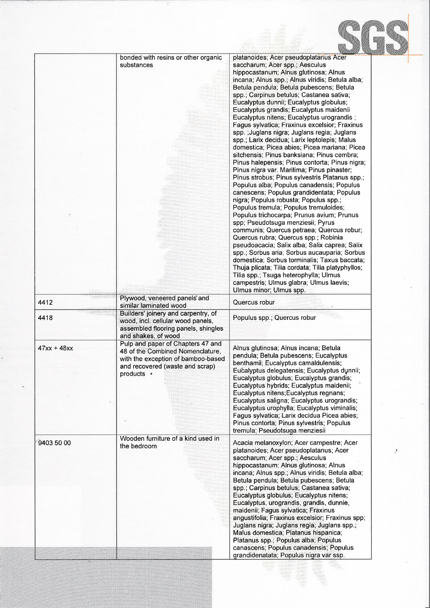|               | bonded with resins or other organic<br>substances                                                                                                            | platanoides; Acer pseudoplatanus Acer<br>saccharum; Acer spp.; Aesculus<br>hippocastanum; Alnus glutinosa; Alnus<br>incana; Alnus spp.; Alnus viridis; Betula alba;<br>Betula pendula; Betula pubescens; Betula<br>spp.; Carpinus betulus; Castanea sativa;<br>Eucalyptus dunnii; Eucalyptus globulus;<br>Eucalyptus grandis; Eucalyptus maidenii<br>Eucalyptus nitens; Eucalyptus urograndis;<br>Fagus sylvatica; Fraxinus excelsior; Fraxinus<br>spp. ; Juglans nigra; Juglans regia; Juglans<br>spp.; Larix decidua; Larix leptolepis; Malus<br>domestica; Picea abies; Picea mariana; Picea<br>sitchensis; Pinus banksiana; Pinus cembra;<br>Pinus halepensis; Pinus contorta; Pinus nigra;<br>Pinus nigra var. Maritima; Pinus pinaster;<br>Pinus strobus; Pinus sylvestris Platanus spp.;<br>Populus alba; Populus canadensis; Populus<br>canescens; Populus grandidentata; Populus<br>nigra; Populus robusta; Populus spp.;<br>Populus tremula; Populus tremuloides;<br>Populus trichocarpa; Prunus avium; Prunus<br>spp; Pseudotsuga menziesii; Pyrus<br>communis; Quercus petraea; Quercus robur;<br>Quercus rubra; Quercus spp.; Robinia<br>pseudoacacia; Salix alba; Salix caprea; Salix<br>spp.; Sorbus aria; Sorbus aucauparia; Sorbus<br>domestica; Sorbus torminalis; Taxus baccata;<br>Thuja plicata; Tilia cordata; Tilia platyphyllos;<br>Tilia spp.; Tsuga heterophylla; Ulmus<br>campestris; Ulmus glabra; Ulmus laevis;<br>Ulmus minor; Ulmus spp. |  |
|---------------|--------------------------------------------------------------------------------------------------------------------------------------------------------------|-------------------------------------------------------------------------------------------------------------------------------------------------------------------------------------------------------------------------------------------------------------------------------------------------------------------------------------------------------------------------------------------------------------------------------------------------------------------------------------------------------------------------------------------------------------------------------------------------------------------------------------------------------------------------------------------------------------------------------------------------------------------------------------------------------------------------------------------------------------------------------------------------------------------------------------------------------------------------------------------------------------------------------------------------------------------------------------------------------------------------------------------------------------------------------------------------------------------------------------------------------------------------------------------------------------------------------------------------------------------------------------------------------------------------------------------------------------------------|--|
| 4412          | Plywood, veneered panels' and<br>similar laminated wood                                                                                                      | Quercus robur                                                                                                                                                                                                                                                                                                                                                                                                                                                                                                                                                                                                                                                                                                                                                                                                                                                                                                                                                                                                                                                                                                                                                                                                                                                                                                                                                                                                                                                           |  |
| 4418          | Builders' joinery and carpentry, of<br>wood, incl. cellular wood panels,<br>assembled flooring panels, shingles<br>and shakes, of wood                       | Populus spp.; Quercus robur                                                                                                                                                                                                                                                                                                                                                                                                                                                                                                                                                                                                                                                                                                                                                                                                                                                                                                                                                                                                                                                                                                                                                                                                                                                                                                                                                                                                                                             |  |
| $47xx + 48xx$ | Pulp and paper of Chapters 47 and<br>48 of the Combined Nomenclature,<br>with the exception of bamboo-based<br>and recovered (waste and scrap)<br>products s | Alnus glutinosa; Alnus incana; Betula<br>pendula; Betula pubescens; Eucalyptus<br>benthamii; Eucalyptus camaldulensis;<br>Eucalyptus delegatensis; Eucalyptus dunnii;<br>Eucalyptus globulus; Eucalyptus grandis;<br>Eucalyptus hybrids; Eucalyptus maidenii;<br>Eucalyptus nitens; Eucalyptus regnans;<br>Eucalyptus saligna; Eucalyptus urograndis;<br>Eucalyptus urophylla; Eucalyptus viminalis;<br>Fagus sylvatica; Larix decidua Picea abies;<br>Pinus contorta; Pinus sylvestris; Populus<br>tremula; Pseudotsuga menziesii                                                                                                                                                                                                                                                                                                                                                                                                                                                                                                                                                                                                                                                                                                                                                                                                                                                                                                                                      |  |
| 9403 50 00    | Wooden furniture of a kind used in<br>the bedroom                                                                                                            | Acacia melanoxylon; Acer campestre; Acer<br>platanoides; Acer pseudoplatanus; Acer<br>saccharum; Acer spp.; Aesculus<br>hippocastanum; Alnus glutinosa; Alnus<br>incana; Alnus spp.; Alnus viridis; Betula alba;<br>Betula pendula; Betula pubescens; Betula<br>spp.; Carpinus betulus; Castanea sativa;<br>Eucalyptus globulus; Eucalyptus nitens;<br>Eucalyptus, urograndis, grandis, dunnie,<br>maidenii; Fagus sylvatica; Fraxinus<br>angustifolia; Fraxinus excelsior; Fraxinus spp;<br>Juglans nigra; Juglans regia; Juglans spp.;<br>Malus domestica; Platanus hispanica;<br>Platanus spp.; Populus alba; Populus<br>canascens; Populus canadensis; Populus<br>grandidenatata; Populus nigra var ssp.                                                                                                                                                                                                                                                                                                                                                                                                                                                                                                                                                                                                                                                                                                                                                            |  |

**September 1999**